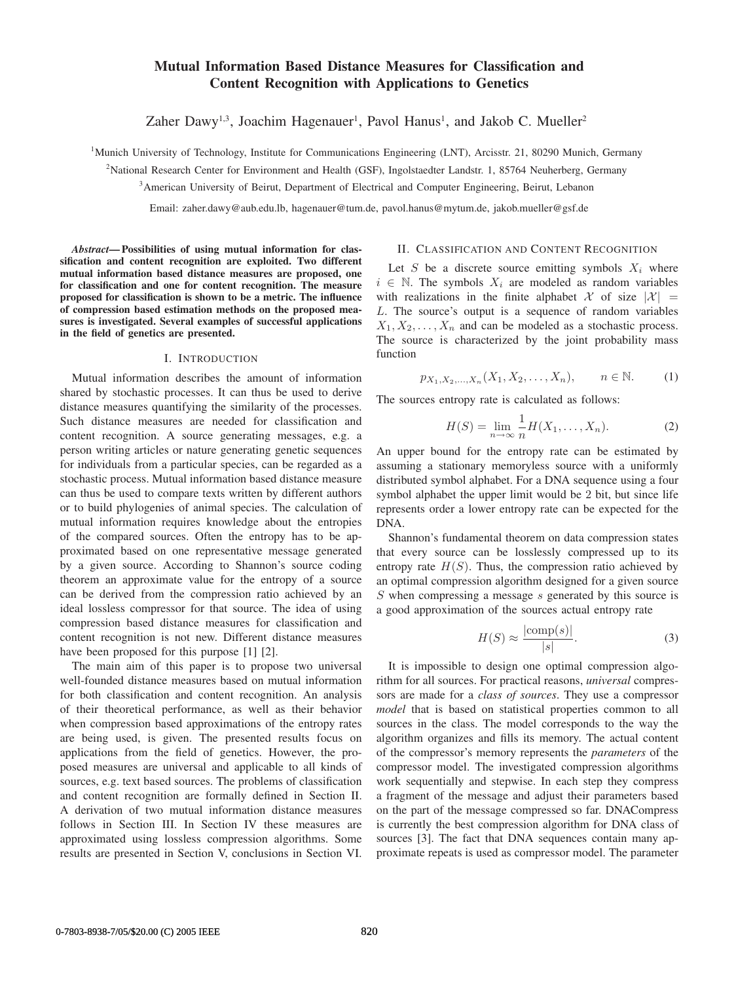# **Mutual Information Based Distance Measures for Classification and Content Recognition with Applications to Genetics**

Zaher Dawy<sup>1,3</sup>, Joachim Hagenauer<sup>1</sup>, Pavol Hanus<sup>1</sup>, and Jakob C. Mueller<sup>2</sup>

<sup>1</sup>Munich University of Technology, Institute for Communications Engineering (LNT), Arcisstr. 21, 80290 Munich, Germany

2 National Research Center for Environment and Health (GSF), Ingolstaedter Landstr. 1, 85764 Neuherberg, Germany

<sup>3</sup> American University of Beirut, Department of Electrical and Computer Engineering, Beirut, Lebanon

Email: zaher.dawy@aub.edu.lb, hagenauer@tum.de, pavol.hanus@mytum.de, jakob.mueller@gsf.de

*Abstract***— Possibilities of using mutual information for classification and content recognition are exploited. Two different mutual information based distance measures are proposed, one for classification and one for content recognition. The measure proposed for classification is shown to be a metric. The influence of compression based estimation methods on the proposed measures is investigated. Several examples of successful applications in the field of genetics are presented.**

#### I. INTRODUCTION

Mutual information describes the amount of information shared by stochastic processes. It can thus be used to derive distance measures quantifying the similarity of the processes. Such distance measures are needed for classification and content recognition. A source generating messages, e.g. a person writing articles or nature generating genetic sequences for individuals from a particular species, can be regarded as a stochastic process. Mutual information based distance measure can thus be used to compare texts written by different authors or to build phylogenies of animal species. The calculation of mutual information requires knowledge about the entropies of the compared sources. Often the entropy has to be approximated based on one representative message generated by a given source. According to Shannon's source coding theorem an approximate value for the entropy of a source can be derived from the compression ratio achieved by an ideal lossless compressor for that source. The idea of using compression based distance measures for classification and content recognition is not new. Different distance measures have been proposed for this purpose [1] [2].

The main aim of this paper is to propose two universal well-founded distance measures based on mutual information for both classification and content recognition. An analysis of their theoretical performance, as well as their behavior when compression based approximations of the entropy rates are being used, is given. The presented results focus on applications from the field of genetics. However, the proposed measures are universal and applicable to all kinds of sources, e.g. text based sources. The problems of classification and content recognition are formally defined in Section II. A derivation of two mutual information distance measures follows in Section III. In Section IV these measures are approximated using lossless compression algorithms. Some results are presented in Section V, conclusions in Section VI.

## II. CLASSIFICATION AND CONTENT RECOGNITION

Let *S* be a discrete source emitting symbols  $X_i$  where  $i \in \mathbb{N}$ . The symbols  $X_i$  are modeled as random variables with realizations in the finite alphabet  $\mathcal X$  of size  $|\mathcal X|$  = *L*. The source's output is a sequence of random variables  $X_1, X_2, \ldots, X_n$  and can be modeled as a stochastic process. The source is characterized by the joint probability mass function

$$
p_{X_1, X_2, \dots, X_n}(X_1, X_2, \dots, X_n), \qquad n \in \mathbb{N}.
$$
 (1)

The sources entropy rate is calculated as follows:

$$
H(S) = \lim_{n \to \infty} \frac{1}{n} H(X_1, ..., X_n).
$$
 (2)

An upper bound for the entropy rate can be estimated by assuming a stationary memoryless source with a uniformly distributed symbol alphabet. For a DNA sequence using a four symbol alphabet the upper limit would be 2 bit, but since life represents order a lower entropy rate can be expected for the DNA.

Shannon's fundamental theorem on data compression states that every source can be losslessly compressed up to its entropy rate  $H(S)$ . Thus, the compression ratio achieved by an optimal compression algorithm designed for a given source *S* when compressing a message *s* generated by this source is a good approximation of the sources actual entropy rate

$$
H(S) \approx \frac{|\text{comp}(s)|}{|s|}.
$$
 (3)

It is impossible to design one optimal compression algorithm for all sources. For practical reasons, *universal* compressors are made for a *class of sources*. They use a compressor *model* that is based on statistical properties common to all sources in the class. The model corresponds to the way the algorithm organizes and fills its memory. The actual content of the compressor's memory represents the *parameters* of the compressor model. The investigated compression algorithms work sequentially and stepwise. In each step they compress a fragment of the message and adjust their parameters based on the part of the message compressed so far. DNACompress is currently the best compression algorithm for DNA class of sources [3]. The fact that DNA sequences contain many approximate repeats is used as compressor model. The parameter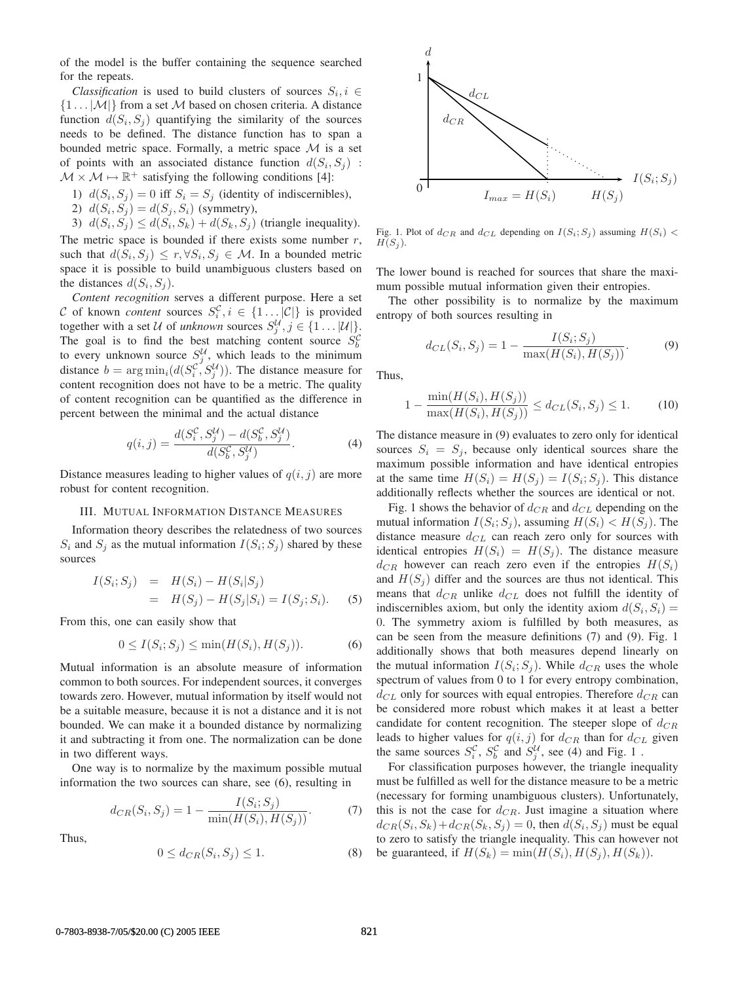of the model is the buffer containing the sequence searched for the repeats.

*Classification* is used to build clusters of sources  $S_i, i \in$  $\{1 \dots |M|\}$  from a set M based on chosen criteria. A distance function  $d(S_i, S_j)$  quantifying the similarity of the sources needs to be defined. The distance function has to span a bounded metric space. Formally, a metric space  $M$  is a set of points with an associated distance function  $d(S_i, S_j)$ :  $\mathcal{M} \times \mathcal{M} \mapsto \mathbb{R}^+$  satisfying the following conditions [4]:

- 1)  $d(S_i, S_j) = 0$  iff  $S_i = S_j$  (identity of indiscernibles),
- 2)  $d(S_i, S_j) = d(S_j, S_i)$  (symmetry),
- 3)  $d(S_i, S_j) \leq d(S_i, S_k) + d(S_k, S_j)$  (triangle inequality).

The metric space is bounded if there exists some number *r*, such that  $d(S_i, S_j) \leq r, \forall S_i, S_j \in \mathcal{M}$ . In a bounded metric space it is possible to build unambiguous clusters based on the distances  $d(S_i, S_j)$ .

*Content recognition* serves a different purpose. Here a set C of known *content* sources  $S_i^C$ ,  $i \in \{1, \ldots |C|\}$  is provided together with a set *l l* of *unknown* sources  $S_1^U$ ,  $i \in \{1, \ldots |U|\}$ together with a set U of *unknown* sources  $S_j^U$ ,  $j \in \{1...|U|\}$ .<br>The sool is to find the best matching content source  $S^C$ The goal is to find the best matching content source  $S_b^C$ to every unknown source  $S_j^{\mathcal{U}}$ , which leads to the minimum distance  $b = \arg \min_i (d(S_i^c, S_j^U))$ . The distance measure for content recognition does not have to be a metric. The quality content recognition does not have to be a metric. The quality of content recognition can be quantified as the difference in percent between the minimal and the actual distance

$$
q(i,j) = \frac{d(S_i^{\mathcal{C}}, S_j^{\mathcal{U}}) - d(S_b^{\mathcal{C}}, S_j^{\mathcal{U}})}{d(S_b^{\mathcal{C}}, S_j^{\mathcal{U}})}.
$$
(4)

Distance measures leading to higher values of  $q(i, j)$  are more robust for content recognition.

## III. MUTUAL INFORMATION DISTANCE MEASURES

Information theory describes the relatedness of two sources  $S_i$  and  $S_j$  as the mutual information  $I(S_i; S_j)$  shared by these sources

$$
I(S_i; S_j) = H(S_i) - H(S_i|S_j)
$$
  
=  $H(S_j) - H(S_j|S_i) = I(S_j; S_i)$ . (5)

From this, one can easily show that

$$
0 \le I(S_i; S_j) \le \min(H(S_i), H(S_j)).
$$
 (6)

Mutual information is an absolute measure of information common to both sources. For independent sources, it converges towards zero. However, mutual information by itself would not be a suitable measure, because it is not a distance and it is not bounded. We can make it a bounded distance by normalizing it and subtracting it from one. The normalization can be done in two different ways.

One way is to normalize by the maximum possible mutual information the two sources can share, see (6), resulting in

$$
d_{CR}(S_i, S_j) = 1 - \frac{I(S_i; S_j)}{\min(H(S_i), H(S_j))}.
$$
 (7)

Thus,

$$
0 \le d_{CR}(S_i, S_j) \le 1. \tag{8}
$$



Fig. 1. Plot of  $d_{CR}$  and  $d_{CL}$  depending on  $I(S_i; S_j)$  assuming  $H(S_i)$  <  $H(S_j)$ .

The lower bound is reached for sources that share the maximum possible mutual information given their entropies.

The other possibility is to normalize by the maximum entropy of both sources resulting in

$$
d_{CL}(S_i, S_j) = 1 - \frac{I(S_i; S_j)}{\max(H(S_i), H(S_j))}.
$$
 (9)

Thus,

$$
1 - \frac{\min(H(S_i), H(S_j))}{\max(H(S_i), H(S_j))} \le d_{CL}(S_i, S_j) \le 1.
$$
 (10)

The distance measure in (9) evaluates to zero only for identical sources  $S_i = S_j$ , because only identical sources share the maximum possible information and have identical entropies at the same time  $H(S_i) = H(S_i) = I(S_i; S_j)$ . This distance additionally reflects whether the sources are identical or not.

Fig. 1 shows the behavior of *dCR* and *dCL* depending on the mutual information  $I(S_i; S_j)$ , assuming  $H(S_i) < H(S_j)$ . The distance measure *dCL* can reach zero only for sources with identical entropies  $H(S_i) = H(S_j)$ . The distance measure  $d_{CR}$  however can reach zero even if the entropies  $H(S_i)$ and  $H(S<sub>j</sub>)$  differ and the sources are thus not identical. This means that *dCR* unlike *dCL* does not fulfill the identity of indiscernibles axiom, but only the identity axiom  $d(S_i, S_i)$  = 0. The symmetry axiom is fulfilled by both measures, as can be seen from the measure definitions (7) and (9). Fig. 1 additionally shows that both measures depend linearly on the mutual information  $I(S_i; S_j)$ . While  $d_{CR}$  uses the whole spectrum of values from 0 to 1 for every entropy combination, *dCL* only for sources with equal entropies. Therefore *dCR* can be considered more robust which makes it at least a better candidate for content recognition. The steeper slope of *dCR* leads to higher values for  $q(i, j)$  for  $d_{CR}$  than for  $d_{CL}$  given the same sources  $S_i^C$ ,  $S_b^C$  and  $S_j^U$ , see (4) and Fig. 1.

For classification purposes however, the triangle inequality must be fulfilled as well for the distance measure to be a metric (necessary for forming unambiguous clusters). Unfortunately, this is not the case for  $d_{CR}$ . Just imagine a situation where  $d_{CR}(S_i, S_k) + d_{CR}(S_k, S_j) = 0$ , then  $d(S_i, S_j)$  must be equal to zero to satisfy the triangle inequality. This can however not be guaranteed, if  $H(S_k) = \min(H(S_i), H(S_j), H(S_k)).$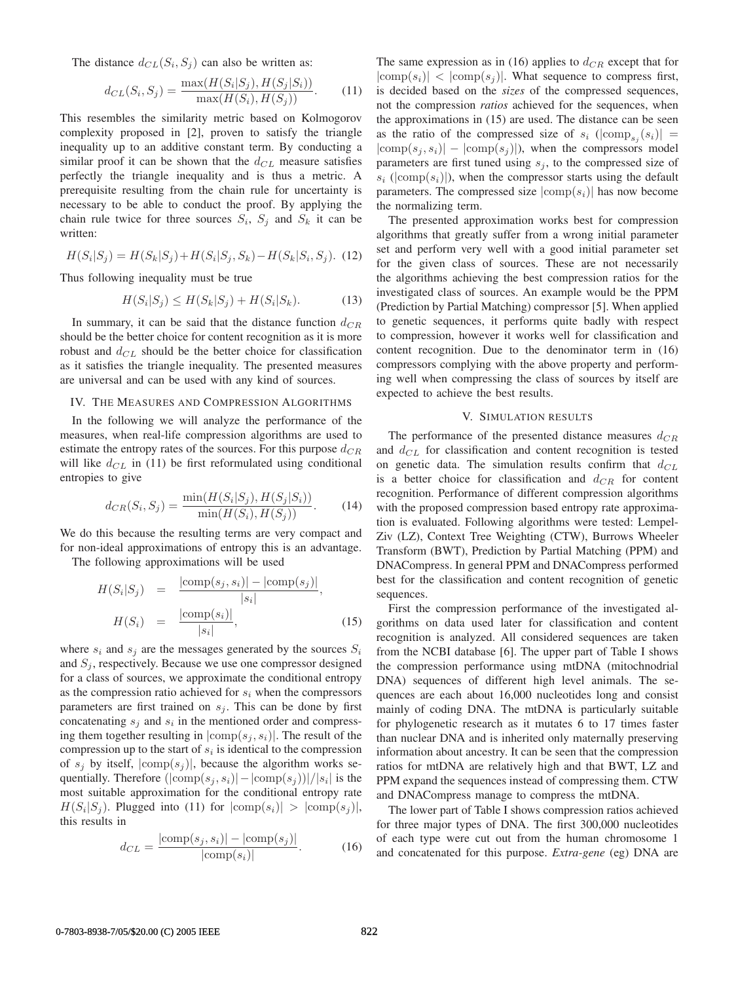The distance  $d_{CL}(S_i, S_j)$  can also be written as:

$$
d_{CL}(S_i, S_j) = \frac{\max(H(S_i|S_j), H(S_j|S_i))}{\max(H(S_i), H(S_j))}.
$$
 (11)

This resembles the similarity metric based on Kolmogorov complexity proposed in [2], proven to satisfy the triangle inequality up to an additive constant term. By conducting a similar proof it can be shown that the *dCL* measure satisfies perfectly the triangle inequality and is thus a metric. A prerequisite resulting from the chain rule for uncertainty is necessary to be able to conduct the proof. By applying the chain rule twice for three sources  $S_i$ ,  $S_j$  and  $S_k$  it can be written:

$$
H(S_i|S_j) = H(S_k|S_j) + H(S_i|S_j, S_k) - H(S_k|S_i, S_j).
$$
 (12)

Thus following inequality must be true

$$
H(S_i|S_j) \le H(S_k|S_j) + H(S_i|S_k). \tag{13}
$$

In summary, it can be said that the distance function *dCR* should be the better choice for content recognition as it is more robust and *dCL* should be the better choice for classification as it satisfies the triangle inequality. The presented measures are universal and can be used with any kind of sources.

# IV. THE MEASURES AND COMPRESSION ALGORITHMS

In the following we will analyze the performance of the measures, when real-life compression algorithms are used to estimate the entropy rates of the sources. For this purpose *dCR* will like  $d_{CL}$  in (11) be first reformulated using conditional entropies to give

$$
d_{CR}(S_i, S_j) = \frac{\min(H(S_i|S_j), H(S_j|S_i))}{\min(H(S_i), H(S_j))}.
$$
 (14)

We do this because the resulting terms are very compact and for non-ideal approximations of entropy this is an advantage.

The following approximations will be used

$$
H(S_i|S_j) = \frac{|\text{comp}(s_j, s_i)| - |\text{comp}(s_j)|}{|s_i|},
$$

$$
H(S_i) = \frac{|\text{comp}(s_i)|}{|s_i|},
$$
(15)

where  $s_i$  and  $s_j$  are the messages generated by the sources  $S_i$ and  $S_i$ , respectively. Because we use one compressor designed for a class of sources, we approximate the conditional entropy as the compression ratio achieved for *s<sup>i</sup>* when the compressors parameters are first trained on  $s_j$ . This can be done by first concatenating  $s_j$  and  $s_i$  in the mentioned order and compressing them together resulting in  $|comp(s<sub>i</sub>, s<sub>i</sub>)|$ . The result of the compression up to the start of *s<sup>i</sup>* is identical to the compression of  $s_i$  by itself,  $|comp(s_i)|$ , because the algorithm works sequentially. Therefore  $(|\text{comp}(s_j, s_i)| - |\text{comp}(s_j)|/|s_i|$  is the most suitable approximation for the conditional entropy rate  $H(S_i|S_j)$ . Plugged into (11) for  $|\text{comp}(s_i)| > |\text{comp}(s_j)|$ , this results in

$$
d_{CL} = \frac{|\text{comp}(s_j, s_i)| - |\text{comp}(s_j)|}{|\text{comp}(s_i)|}.
$$
 (16)

The same expression as in (16) applies to  $d_{CR}$  except that for  $|\text{comp}(s_i)| < |\text{comp}(s_i)|$ . What sequence to compress first, is decided based on the *sizes* of the compressed sequences, not the compression *ratios* achieved for the sequences, when the approximations in (15) are used. The distance can be seen as the ratio of the compressed size of  $s_i$  ( $|\text{comp}_{s_i}(s_i)|$  =  $|\text{comp}(s_j, s_i)| - |\text{comp}(s_j)|$ ), when the compressors model parameters are first tuned using  $s_j$ , to the compressed size of  $s_i$  ( $|\text{comp}(s_i)|$ ), when the compressor starts using the default parameters. The compressed size  $|\text{comp}(s_i)|$  has now become the normalizing term.

The presented approximation works best for compression algorithms that greatly suffer from a wrong initial parameter set and perform very well with a good initial parameter set for the given class of sources. These are not necessarily the algorithms achieving the best compression ratios for the investigated class of sources. An example would be the PPM (Prediction by Partial Matching) compressor [5]. When applied to genetic sequences, it performs quite badly with respect to compression, however it works well for classification and content recognition. Due to the denominator term in (16) compressors complying with the above property and performing well when compressing the class of sources by itself are expected to achieve the best results.

#### V. SIMULATION RESULTS

The performance of the presented distance measures *dCR* and *dCL* for classification and content recognition is tested on genetic data. The simulation results confirm that *dCL* is a better choice for classification and *dCR* for content recognition. Performance of different compression algorithms with the proposed compression based entropy rate approximation is evaluated. Following algorithms were tested: Lempel-Ziv (LZ), Context Tree Weighting (CTW), Burrows Wheeler Transform (BWT), Prediction by Partial Matching (PPM) and DNACompress. In general PPM and DNACompress performed best for the classification and content recognition of genetic sequences.

First the compression performance of the investigated algorithms on data used later for classification and content recognition is analyzed. All considered sequences are taken from the NCBI database [6]. The upper part of Table I shows the compression performance using mtDNA (mitochnodrial DNA) sequences of different high level animals. The sequences are each about 16,000 nucleotides long and consist mainly of coding DNA. The mtDNA is particularly suitable for phylogenetic research as it mutates 6 to 17 times faster than nuclear DNA and is inherited only maternally preserving information about ancestry. It can be seen that the compression ratios for mtDNA are relatively high and that BWT, LZ and PPM expand the sequences instead of compressing them. CTW and DNACompress manage to compress the mtDNA.

The lower part of Table I shows compression ratios achieved for three major types of DNA. The first 300,000 nucleotides of each type were cut out from the human chromosome 1 and concatenated for this purpose. *Extra-gene* (eg) DNA are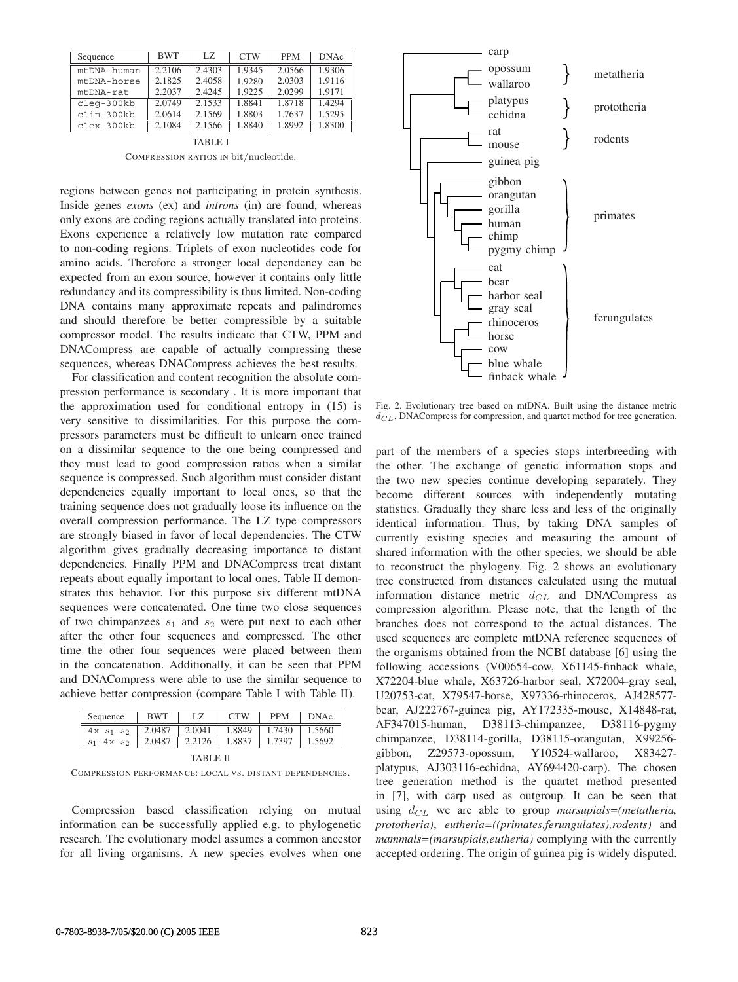| Sequence     | <b>BWT</b> | LZ.    | <b>CTW</b> | <b>PPM</b> | <b>DNAc</b> |
|--------------|------------|--------|------------|------------|-------------|
| mtDNA-human  | 2.2106     | 2.4303 | 1.9345     | 2.0566     | 1.9306      |
| mtDNA-horse  | 2.1825     | 2.4058 | 1.9280     | 2.0303     | 1.9116      |
| mtDNA-rat    | 2.2037     | 2.4245 | 1.9225     | 2.0299     | 1.9171      |
| $c1eq-300kb$ | 2.0749     | 2.1533 | 1.8841     | 1.8718     | 1 4 2 9 4   |
| $clin-300kb$ | 2.0614     | 2.1569 | 1.8803     | 1.7637     | 1.5295      |
| $clex-300kb$ | 2.1084     | 2.1566 | 1.8840     | 1.8992     | 1.8300      |

TABLE I COMPRESSION RATIOS IN bit*/*nucleotide.

regions between genes not participating in protein synthesis. Inside genes *exons* (ex) and *introns* (in) are found, whereas only exons are coding regions actually translated into proteins. Exons experience a relatively low mutation rate compared to non-coding regions. Triplets of exon nucleotides code for amino acids. Therefore a stronger local dependency can be expected from an exon source, however it contains only little redundancy and its compressibility is thus limited. Non-coding DNA contains many approximate repeats and palindromes and should therefore be better compressible by a suitable compressor model. The results indicate that CTW, PPM and DNACompress are capable of actually compressing these sequences, whereas DNACompress achieves the best results.

For classification and content recognition the absolute compression performance is secondary . It is more important that the approximation used for conditional entropy in (15) is very sensitive to dissimilarities. For this purpose the compressors parameters must be difficult to unlearn once trained on a dissimilar sequence to the one being compressed and they must lead to good compression ratios when a similar sequence is compressed. Such algorithm must consider distant dependencies equally important to local ones, so that the training sequence does not gradually loose its influence on the overall compression performance. The LZ type compressors are strongly biased in favor of local dependencies. The CTW algorithm gives gradually decreasing importance to distant dependencies. Finally PPM and DNACompress treat distant repeats about equally important to local ones. Table II demonstrates this behavior. For this purpose six different mtDNA sequences were concatenated. One time two close sequences of two chimpanzees *s*<sup>1</sup> and *s*<sup>2</sup> were put next to each other after the other four sequences and compressed. The other time the other four sequences were placed between them in the concatenation. Additionally, it can be seen that PPM and DNACompress were able to use the similar sequence to achieve better compression (compare Table I with Table II).

| Sequence                             | <b>BWT</b>       |                  | <b>CTW</b>       | <b>PPM</b>       | DNAc.            |
|--------------------------------------|------------------|------------------|------------------|------------------|------------------|
| $4x - s_1 - s_2$<br>$s_1 - 4x - s_2$ | 2.0487<br>2.0487 | 2.0041<br>2.2126 | 1.8849<br>1.8837 | 1.7430<br>1 7397 | 1.5660<br>1.5692 |
| TABLE II                             |                  |                  |                  |                  |                  |

COMPRESSION PERFORMANCE: LOCAL VS. DISTANT DEPENDENCIES.

Compression based classification relying on mutual information can be successfully applied e.g. to phylogenetic research. The evolutionary model assumes a common ancestor for all living organisms. A new species evolves when one



Fig. 2. Evolutionary tree based on mtDNA. Built using the distance metric *dCL*, DNACompress for compression, and quartet method for tree generation.

part of the members of a species stops interbreeding with the other. The exchange of genetic information stops and the two new species continue developing separately. They become different sources with independently mutating statistics. Gradually they share less and less of the originally identical information. Thus, by taking DNA samples of currently existing species and measuring the amount of shared information with the other species, we should be able to reconstruct the phylogeny. Fig. 2 shows an evolutionary tree constructed from distances calculated using the mutual information distance metric *dCL* and DNACompress as compression algorithm. Please note, that the length of the branches does not correspond to the actual distances. The used sequences are complete mtDNA reference sequences of the organisms obtained from the NCBI database [6] using the following accessions (V00654-cow, X61145-finback whale, X72204-blue whale, X63726-harbor seal, X72004-gray seal, U20753-cat, X79547-horse, X97336-rhinoceros, AJ428577 bear, AJ222767-guinea pig, AY172335-mouse, X14848-rat, AF347015-human, D38113-chimpanzee, D38116-pygmy chimpanzee, D38114-gorilla, D38115-orangutan, X99256 gibbon, Z29573-opossum, Y10524-wallaroo, X83427 platypus, AJ303116-echidna, AY694420-carp). The chosen tree generation method is the quartet method presented in [7], with carp used as outgroup. It can be seen that using *dCL* we are able to group *marsupials=(metatheria, prototheria)*, *eutheria=((primates,ferungulates),rodents)* and *mammals=(marsupials,eutheria)* complying with the currently accepted ordering. The origin of guinea pig is widely disputed.